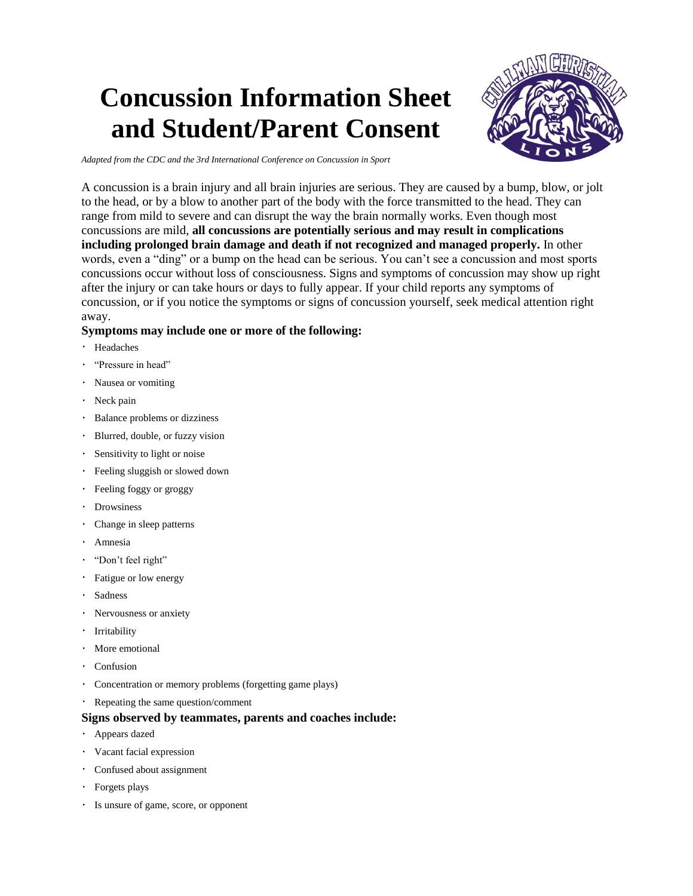# **Concussion Information Sheet and Student/Parent Consent**



*Adapted from the CDC and the 3rd International Conference on Concussion in Sport*

A concussion is a brain injury and all brain injuries are serious. They are caused by a bump, blow, or jolt to the head, or by a blow to another part of the body with the force transmitted to the head. They can range from mild to severe and can disrupt the way the brain normally works. Even though most concussions are mild, **all concussions are potentially serious and may result in complications including prolonged brain damage and death if not recognized and managed properly.** In other words, even a "ding" or a bump on the head can be serious. You can't see a concussion and most sports concussions occur without loss of consciousness. Signs and symptoms of concussion may show up right after the injury or can take hours or days to fully appear. If your child reports any symptoms of concussion, or if you notice the symptoms or signs of concussion yourself, seek medical attention right away.

## **Symptoms may include one or more of the following:**

- Headaches
- "Pressure in head"
- Nausea or vomiting
- · Neck pain
- Balance problems or dizziness
- Blurred, double, or fuzzy vision
- Sensitivity to light or noise
- Feeling sluggish or slowed down
- Feeling foggy or groggy
- Drowsiness
- Change in sleep patterns
- Amnesia
- "Don't feel right"
- Fatigue or low energy
- Sadness
- Nervousness or anxiety
- · Irritability
- More emotional
- Confusion
- Concentration or memory problems (forgetting game plays)
- Repeating the same question/comment

### **Signs observed by teammates, parents and coaches include:**

- Appears dazed
- Vacant facial expression
- Confused about assignment
- Forgets plays
- Is unsure of game, score, or opponent